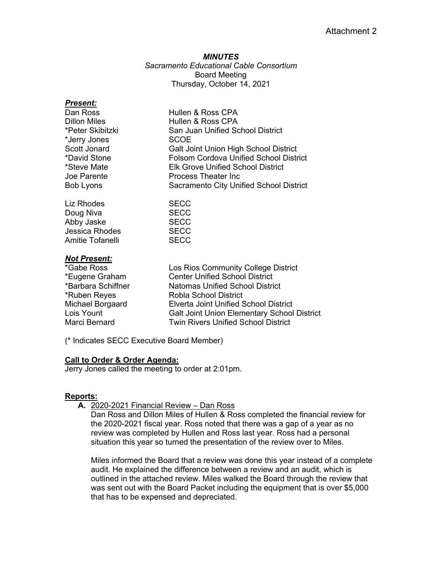#### *MINUTES*

*Sacramento Educational Cable Consortium* Board Meeting Thursday, October 14, 2021

| Hullen & Ross CPA                            |
|----------------------------------------------|
| Hullen & Ross CPA                            |
| San Juan Unified School District             |
| <b>SCOE</b>                                  |
| <b>Galt Joint Union High School District</b> |
| Folsom Cordova Unified School District       |
| <b>Elk Grove Unified School District</b>     |
| <b>Process Theater Inc.</b>                  |
| Sacramento City Unified School District      |
| <b>SECC</b>                                  |
| <b>SECC</b>                                  |
| <b>SECC</b>                                  |
| <b>SECC</b>                                  |
| <b>SECC</b>                                  |
|                                              |

# *Not Present:*

| *Gabe Ross         | Los Rios Community College District                |
|--------------------|----------------------------------------------------|
| *Eugene Graham     | <b>Center Unified School District</b>              |
| *Barbara Schiffner | <b>Natomas Unified School District</b>             |
| *Ruben Reyes       | <b>Robla School District</b>                       |
| Michael Borgaard   | Elverta Joint Unified School District              |
| Lois Yount         | <b>Galt Joint Union Elementary School District</b> |
| Marci Bernard      | <b>Twin Rivers Unified School District</b>         |

(\* Indicates SECC Executive Board Member)

# **Call to Order & Order Agenda:**

Jerry Jones called the meeting to order at 2:01pm.

# **Reports:**

**A.** 2020-2021 Financial Review – Dan Ross

Dan Ross and Dillon Miles of Hullen & Ross completed the financial review for the 2020-2021 fiscal year. Ross noted that there was a gap of a year as no review was completed by Hullen and Ross last year. Ross had a personal situation this year so turned the presentation of the review over to Miles.

Miles informed the Board that a review was done this year instead of a complete audit. He explained the difference between a review and an audit, which is outlined in the attached review. Miles walked the Board through the review that was sent out with the Board Packet including the equipment that is over \$5,000 that has to be expensed and depreciated.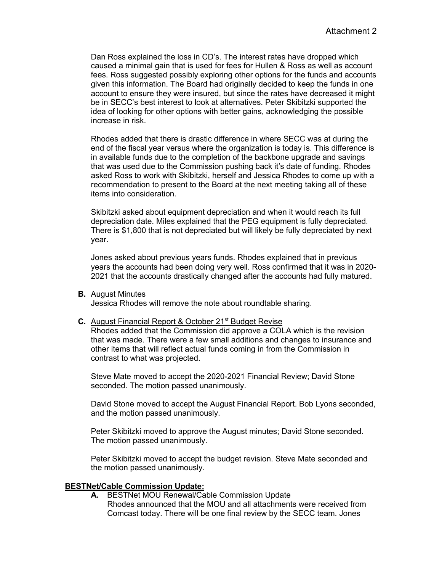Dan Ross explained the loss in CD's. The interest rates have dropped which caused a minimal gain that is used for fees for Hullen & Ross as well as account fees. Ross suggested possibly exploring other options for the funds and accounts given this information. The Board had originally decided to keep the funds in one account to ensure they were insured, but since the rates have decreased it might be in SECC's best interest to look at alternatives. Peter Skibitzki supported the idea of looking for other options with better gains, acknowledging the possible increase in risk.

Rhodes added that there is drastic difference in where SECC was at during the end of the fiscal year versus where the organization is today is. This difference is in available funds due to the completion of the backbone upgrade and savings that was used due to the Commission pushing back it's date of funding. Rhodes asked Ross to work with Skibitzki, herself and Jessica Rhodes to come up with a recommendation to present to the Board at the next meeting taking all of these items into consideration.

Skibitzki asked about equipment depreciation and when it would reach its full depreciation date. Miles explained that the PEG equipment is fully depreciated. There is \$1,800 that is not depreciated but will likely be fully depreciated by next year.

Jones asked about previous years funds. Rhodes explained that in previous years the accounts had been doing very well. Ross confirmed that it was in 2020- 2021 that the accounts drastically changed after the accounts had fully matured.

**B.** August Minutes

Jessica Rhodes will remove the note about roundtable sharing.

#### **C.** August Financial Report & October 21<sup>st</sup> Budget Revise

Rhodes added that the Commission did approve a COLA which is the revision that was made. There were a few small additions and changes to insurance and other items that will reflect actual funds coming in from the Commission in contrast to what was projected.

Steve Mate moved to accept the 2020-2021 Financial Review; David Stone seconded. The motion passed unanimously.

David Stone moved to accept the August Financial Report. Bob Lyons seconded, and the motion passed unanimously.

Peter Skibitzki moved to approve the August minutes; David Stone seconded. The motion passed unanimously.

Peter Skibitzki moved to accept the budget revision. Steve Mate seconded and the motion passed unanimously.

#### **BESTNet/Cable Commission Update:**

**A.** BESTNet MOU Renewal/Cable Commission Update Rhodes announced that the MOU and all attachments were received from Comcast today. There will be one final review by the SECC team. Jones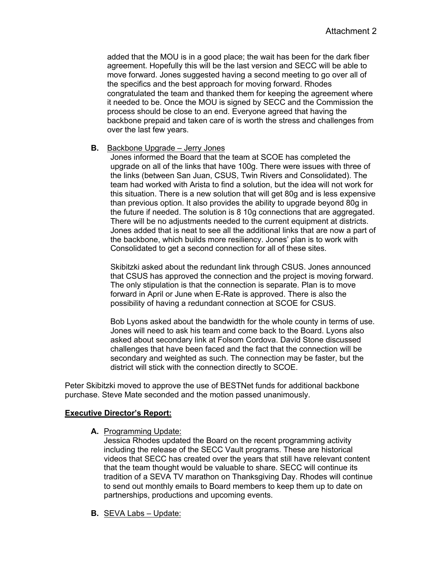added that the MOU is in a good place; the wait has been for the dark fiber agreement. Hopefully this will be the last version and SECC will be able to move forward. Jones suggested having a second meeting to go over all of the specifics and the best approach for moving forward. Rhodes congratulated the team and thanked them for keeping the agreement where it needed to be. Once the MOU is signed by SECC and the Commission the process should be close to an end. Everyone agreed that having the backbone prepaid and taken care of is worth the stress and challenges from over the last few years.

## **B.** Backbone Upgrade – Jerry Jones

Jones informed the Board that the team at SCOE has completed the upgrade on all of the links that have 100g. There were issues with three of the links (between San Juan, CSUS, Twin Rivers and Consolidated). The team had worked with Arista to find a solution, but the idea will not work for this situation. There is a new solution that will get 80g and is less expensive than previous option. It also provides the ability to upgrade beyond 80g in the future if needed. The solution is 8 10g connections that are aggregated. There will be no adjustments needed to the current equipment at districts. Jones added that is neat to see all the additional links that are now a part of the backbone, which builds more resiliency. Jones' plan is to work with Consolidated to get a second connection for all of these sites.

Skibitzki asked about the redundant link through CSUS. Jones announced that CSUS has approved the connection and the project is moving forward. The only stipulation is that the connection is separate. Plan is to move forward in April or June when E-Rate is approved. There is also the possibility of having a redundant connection at SCOE for CSUS.

Bob Lyons asked about the bandwidth for the whole county in terms of use. Jones will need to ask his team and come back to the Board. Lyons also asked about secondary link at Folsom Cordova. David Stone discussed challenges that have been faced and the fact that the connection will be secondary and weighted as such. The connection may be faster, but the district will stick with the connection directly to SCOE.

Peter Skibitzki moved to approve the use of BESTNet funds for additional backbone purchase. Steve Mate seconded and the motion passed unanimously.

# **Executive Director's Report:**

**A.** Programming Update:

Jessica Rhodes updated the Board on the recent programming activity including the release of the SECC Vault programs. These are historical videos that SECC has created over the years that still have relevant content that the team thought would be valuable to share. SECC will continue its tradition of a SEVA TV marathon on Thanksgiving Day. Rhodes will continue to send out monthly emails to Board members to keep them up to date on partnerships, productions and upcoming events.

**B.** SEVA Labs – Update: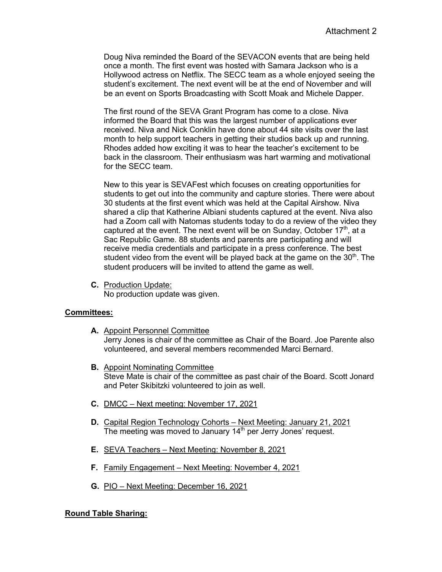Doug Niva reminded the Board of the SEVACON events that are being held once a month. The first event was hosted with Samara Jackson who is a Hollywood actress on Netflix. The SECC team as a whole enjoyed seeing the student's excitement. The next event will be at the end of November and will be an event on Sports Broadcasting with Scott Moak and Michele Dapper.

The first round of the SEVA Grant Program has come to a close. Niva informed the Board that this was the largest number of applications ever received. Niva and Nick Conklin have done about 44 site visits over the last month to help support teachers in getting their studios back up and running. Rhodes added how exciting it was to hear the teacher's excitement to be back in the classroom. Their enthusiasm was hart warming and motivational for the SECC team.

New to this year is SEVAFest which focuses on creating opportunities for students to get out into the community and capture stories. There were about 30 students at the first event which was held at the Capital Airshow. Niva shared a clip that Katherine Albiani students captured at the event. Niva also had a Zoom call with Natomas students today to do a review of the video they captured at the event. The next event will be on Sunday, October  $17<sup>th</sup>$ , at a Sac Republic Game. 88 students and parents are participating and will receive media credentials and participate in a press conference. The best student video from the event will be played back at the game on the  $30<sup>th</sup>$ . The student producers will be invited to attend the game as well.

**C.** Production Update: No production update was given.

#### **Committees:**

- **A.** Appoint Personnel Committee Jerry Jones is chair of the committee as Chair of the Board. Joe Parente also volunteered, and several members recommended Marci Bernard.
- **B.** Appoint Nominating Committee Steve Mate is chair of the committee as past chair of the Board. Scott Jonard and Peter Skibitzki volunteered to join as well.
- **C.** DMCC Next meeting: November 17, 2021
- **D.** Capital Region Technology Cohorts Next Meeting: January 21, 2021 The meeting was moved to January 14<sup>th</sup> per Jerry Jones' request.
- **E.** SEVA Teachers Next Meeting: November 8, 2021
- **F.** Family Engagement Next Meeting: November 4, 2021
- **G.** PIO Next Meeting: December 16, 2021

#### **Round Table Sharing:**